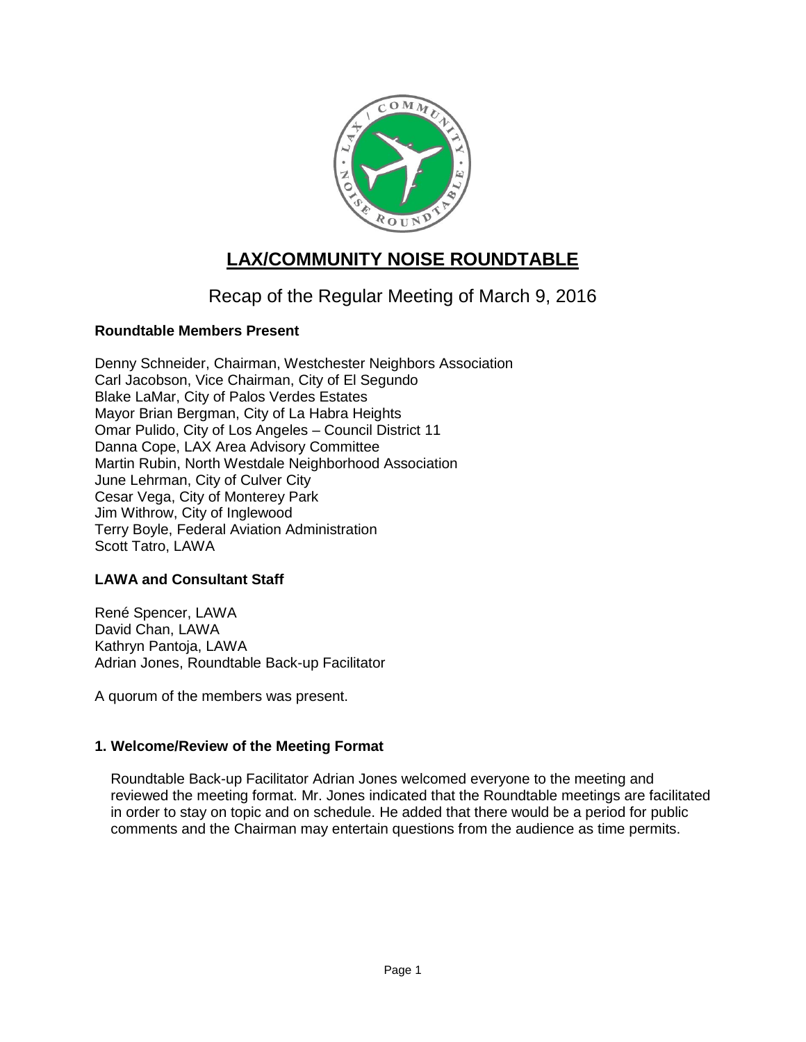

# **LAX/COMMUNITY NOISE ROUNDTABLE**

## Recap of the Regular Meeting of March 9, 2016

## **Roundtable Members Present**

Denny Schneider, Chairman, Westchester Neighbors Association Carl Jacobson, Vice Chairman, City of El Segundo Blake LaMar, City of Palos Verdes Estates Mayor Brian Bergman, City of La Habra Heights Omar Pulido, City of Los Angeles – Council District 11 Danna Cope, LAX Area Advisory Committee Martin Rubin, North Westdale Neighborhood Association June Lehrman, City of Culver City Cesar Vega, City of Monterey Park Jim Withrow, City of Inglewood Terry Boyle, Federal Aviation Administration Scott Tatro, LAWA

## **LAWA and Consultant Staff**

René Spencer, LAWA David Chan, LAWA Kathryn Pantoja, LAWA Adrian Jones, Roundtable Back-up Facilitator

A quorum of the members was present.

## **1. Welcome/Review of the Meeting Format**

Roundtable Back-up Facilitator Adrian Jones welcomed everyone to the meeting and reviewed the meeting format. Mr. Jones indicated that the Roundtable meetings are facilitated in order to stay on topic and on schedule. He added that there would be a period for public comments and the Chairman may entertain questions from the audience as time permits.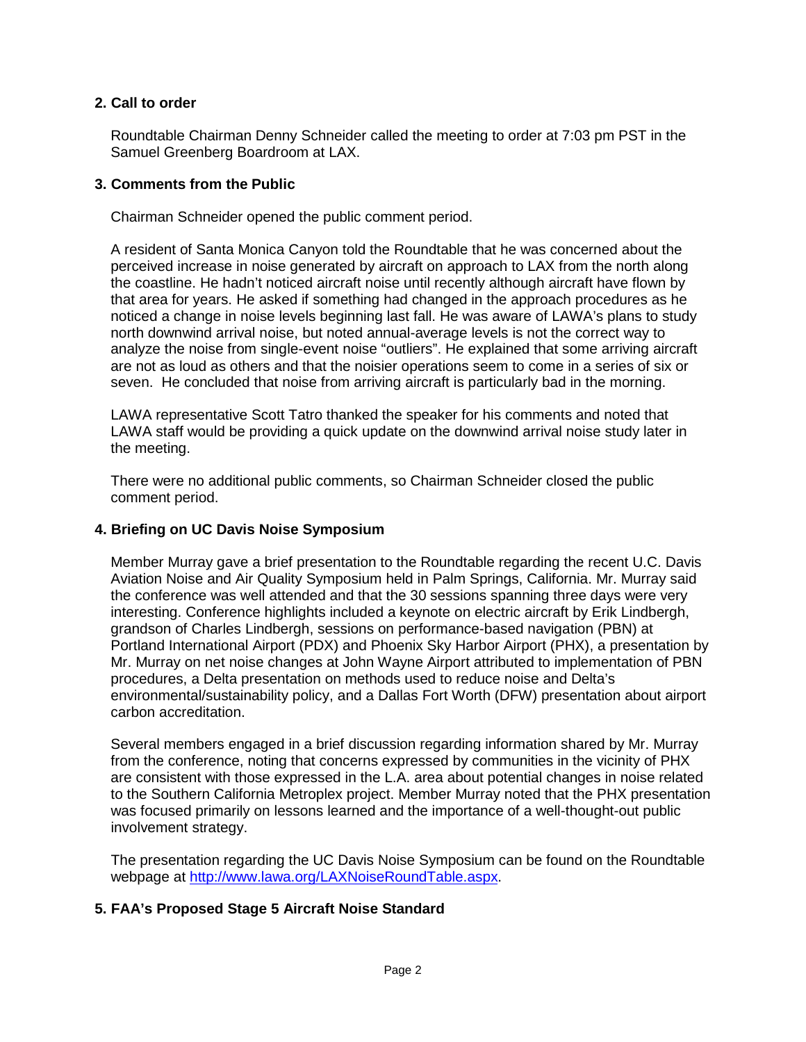#### **2. Call to order**

Roundtable Chairman Denny Schneider called the meeting to order at 7:03 pm PST in the Samuel Greenberg Boardroom at LAX.

#### **3. Comments from the Public**

Chairman Schneider opened the public comment period.

A resident of Santa Monica Canyon told the Roundtable that he was concerned about the perceived increase in noise generated by aircraft on approach to LAX from the north along the coastline. He hadn't noticed aircraft noise until recently although aircraft have flown by that area for years. He asked if something had changed in the approach procedures as he noticed a change in noise levels beginning last fall. He was aware of LAWA's plans to study north downwind arrival noise, but noted annual-average levels is not the correct way to analyze the noise from single-event noise "outliers". He explained that some arriving aircraft are not as loud as others and that the noisier operations seem to come in a series of six or seven. He concluded that noise from arriving aircraft is particularly bad in the morning.

LAWA representative Scott Tatro thanked the speaker for his comments and noted that LAWA staff would be providing a quick update on the downwind arrival noise study later in the meeting.

There were no additional public comments, so Chairman Schneider closed the public comment period.

#### **4. Briefing on UC Davis Noise Symposium**

Member Murray gave a brief presentation to the Roundtable regarding the recent U.C. Davis Aviation Noise and Air Quality Symposium held in Palm Springs, California. Mr. Murray said the conference was well attended and that the 30 sessions spanning three days were very interesting. Conference highlights included a keynote on electric aircraft by Erik Lindbergh, grandson of Charles Lindbergh, sessions on performance-based navigation (PBN) at Portland International Airport (PDX) and Phoenix Sky Harbor Airport (PHX), a presentation by Mr. Murray on net noise changes at John Wayne Airport attributed to implementation of PBN procedures, a Delta presentation on methods used to reduce noise and Delta's environmental/sustainability policy, and a Dallas Fort Worth (DFW) presentation about airport carbon accreditation.

Several members engaged in a brief discussion regarding information shared by Mr. Murray from the conference, noting that concerns expressed by communities in the vicinity of PHX are consistent with those expressed in the L.A. area about potential changes in noise related to the Southern California Metroplex project. Member Murray noted that the PHX presentation was focused primarily on lessons learned and the importance of a well-thought-out public involvement strategy.

The presentation regarding the UC Davis Noise Symposium can be found on the Roundtable webpage at [http://www.lawa.org/LAXNoiseRoundTable.aspx.](http://www.lawa.org/LAXNoiseRoundTable.aspx)

## **5. FAA's Proposed Stage 5 Aircraft Noise Standard**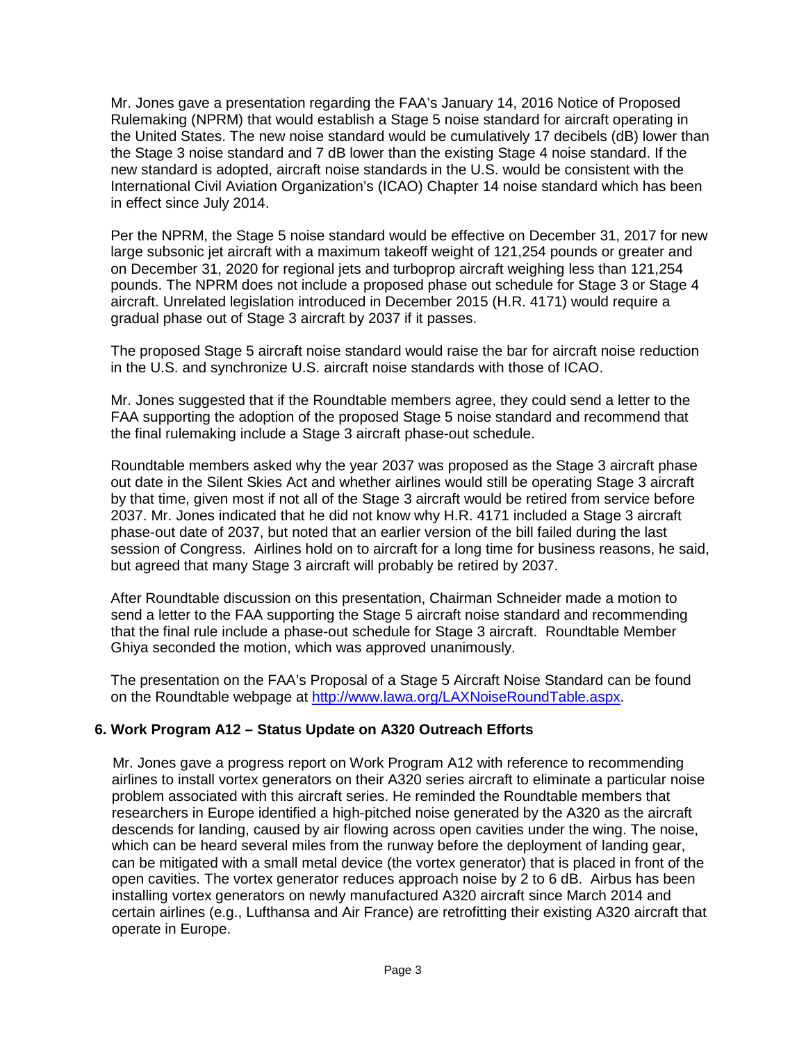Mr. Jones gave a presentation regarding the FAA's January 14, 2016 Notice of Proposed Rulemaking (NPRM) that would establish a Stage 5 noise standard for aircraft operating in the United States. The new noise standard would be cumulatively 17 decibels (dB) lower than the Stage 3 noise standard and 7 dB lower than the existing Stage 4 noise standard. If the new standard is adopted, aircraft noise standards in the U.S. would be consistent with the International Civil Aviation Organization's (ICAO) Chapter 14 noise standard which has been in effect since July 2014.

Per the NPRM, the Stage 5 noise standard would be effective on December 31, 2017 for new large subsonic jet aircraft with a maximum takeoff weight of 121,254 pounds or greater and on December 31, 2020 for regional jets and turboprop aircraft weighing less than 121,254 pounds. The NPRM does not include a proposed phase out schedule for Stage 3 or Stage 4 aircraft. Unrelated legislation introduced in December 2015 (H.R. 4171) would require a gradual phase out of Stage 3 aircraft by 2037 if it passes.

The proposed Stage 5 aircraft noise standard would raise the bar for aircraft noise reduction in the U.S. and synchronize U.S. aircraft noise standards with those of ICAO.

Mr. Jones suggested that if the Roundtable members agree, they could send a letter to the FAA supporting the adoption of the proposed Stage 5 noise standard and recommend that the final rulemaking include a Stage 3 aircraft phase-out schedule.

Roundtable members asked why the year 2037 was proposed as the Stage 3 aircraft phase out date in the Silent Skies Act and whether airlines would still be operating Stage 3 aircraft by that time, given most if not all of the Stage 3 aircraft would be retired from service before 2037. Mr. Jones indicated that he did not know why H.R. 4171 included a Stage 3 aircraft phase-out date of 2037, but noted that an earlier version of the bill failed during the last session of Congress. Airlines hold on to aircraft for a long time for business reasons, he said, but agreed that many Stage 3 aircraft will probably be retired by 2037.

After Roundtable discussion on this presentation, Chairman Schneider made a motion to send a letter to the FAA supporting the Stage 5 aircraft noise standard and recommending that the final rule include a phase-out schedule for Stage 3 aircraft. Roundtable Member Ghiya seconded the motion, which was approved unanimously.

The presentation on the FAA's Proposal of a Stage 5 Aircraft Noise Standard can be found on the Roundtable webpage at [http://www.lawa.org/LAXNoiseRoundTable.aspx.](http://www.lawa.org/LAXNoiseRoundTable.aspx)

#### **6. Work Program A12 – Status Update on A320 Outreach Efforts**

Mr. Jones gave a progress report on Work Program A12 with reference to recommending airlines to install vortex generators on their A320 series aircraft to eliminate a particular noise problem associated with this aircraft series. He reminded the Roundtable members that researchers in Europe identified a high-pitched noise generated by the A320 as the aircraft descends for landing, caused by air flowing across open cavities under the wing. The noise, which can be heard several miles from the runway before the deployment of landing gear, can be mitigated with a small metal device (the vortex generator) that is placed in front of the open cavities. The vortex generator reduces approach noise by 2 to 6 dB. Airbus has been installing vortex generators on newly manufactured A320 aircraft since March 2014 and certain airlines (e.g., Lufthansa and Air France) are retrofitting their existing A320 aircraft that operate in Europe.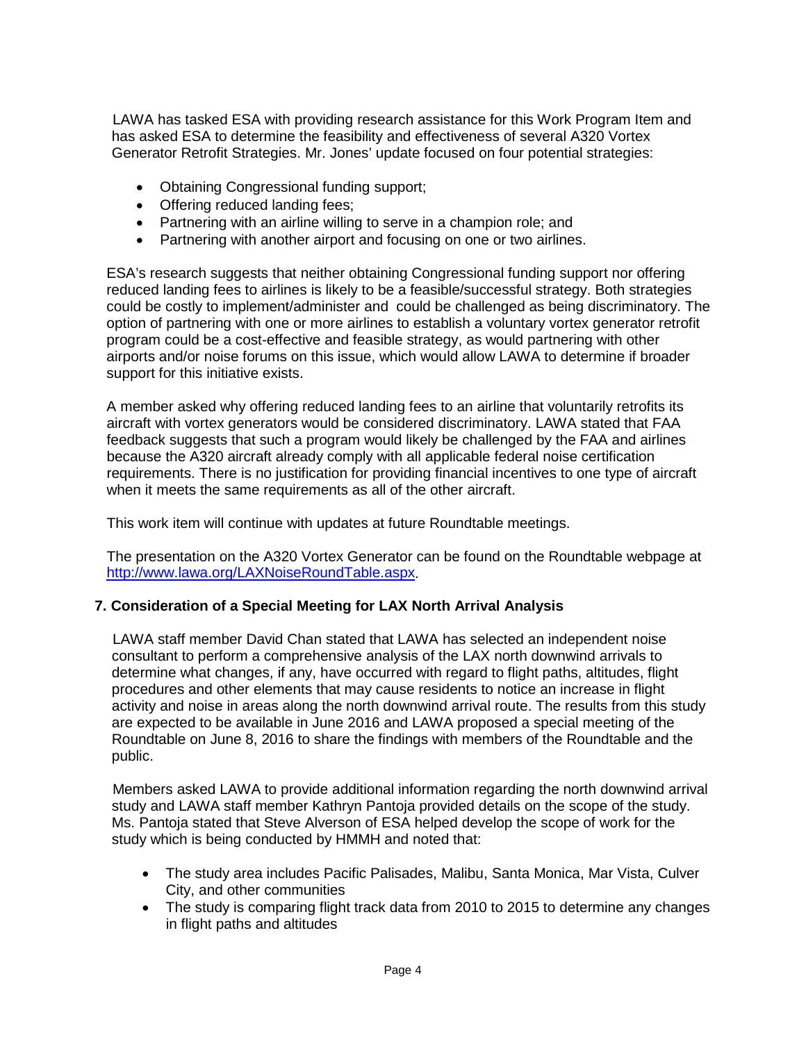LAWA has tasked ESA with providing research assistance for this Work Program Item and has asked ESA to determine the feasibility and effectiveness of several A320 Vortex Generator Retrofit Strategies. Mr. Jones' update focused on four potential strategies:

- Obtaining Congressional funding support;
- Offering reduced landing fees;
- Partnering with an airline willing to serve in a champion role; and
- Partnering with another airport and focusing on one or two airlines.

ESA's research suggests that neither obtaining Congressional funding support nor offering reduced landing fees to airlines is likely to be a feasible/successful strategy. Both strategies could be costly to implement/administer and could be challenged as being discriminatory. The option of partnering with one or more airlines to establish a voluntary vortex generator retrofit program could be a cost-effective and feasible strategy, as would partnering with other airports and/or noise forums on this issue, which would allow LAWA to determine if broader support for this initiative exists.

A member asked why offering reduced landing fees to an airline that voluntarily retrofits its aircraft with vortex generators would be considered discriminatory. LAWA stated that FAA feedback suggests that such a program would likely be challenged by the FAA and airlines because the A320 aircraft already comply with all applicable federal noise certification requirements. There is no justification for providing financial incentives to one type of aircraft when it meets the same requirements as all of the other aircraft.

This work item will continue with updates at future Roundtable meetings.

The presentation on the A320 Vortex Generator can be found on the Roundtable webpage at [http://www.lawa.org/LAXNoiseRoundTable.aspx.](http://www.lawa.org/LAXNoiseRoundTable.aspx)

#### **7. Consideration of a Special Meeting for LAX North Arrival Analysis**

LAWA staff member David Chan stated that LAWA has selected an independent noise consultant to perform a comprehensive analysis of the LAX north downwind arrivals to determine what changes, if any, have occurred with regard to flight paths, altitudes, flight procedures and other elements that may cause residents to notice an increase in flight activity and noise in areas along the north downwind arrival route. The results from this study are expected to be available in June 2016 and LAWA proposed a special meeting of the Roundtable on June 8, 2016 to share the findings with members of the Roundtable and the public.

Members asked LAWA to provide additional information regarding the north downwind arrival study and LAWA staff member Kathryn Pantoja provided details on the scope of the study. Ms. Pantoja stated that Steve Alverson of ESA helped develop the scope of work for the study which is being conducted by HMMH and noted that:

- The study area includes Pacific Palisades, Malibu, Santa Monica, Mar Vista, Culver City, and other communities
- The study is comparing flight track data from 2010 to 2015 to determine any changes in flight paths and altitudes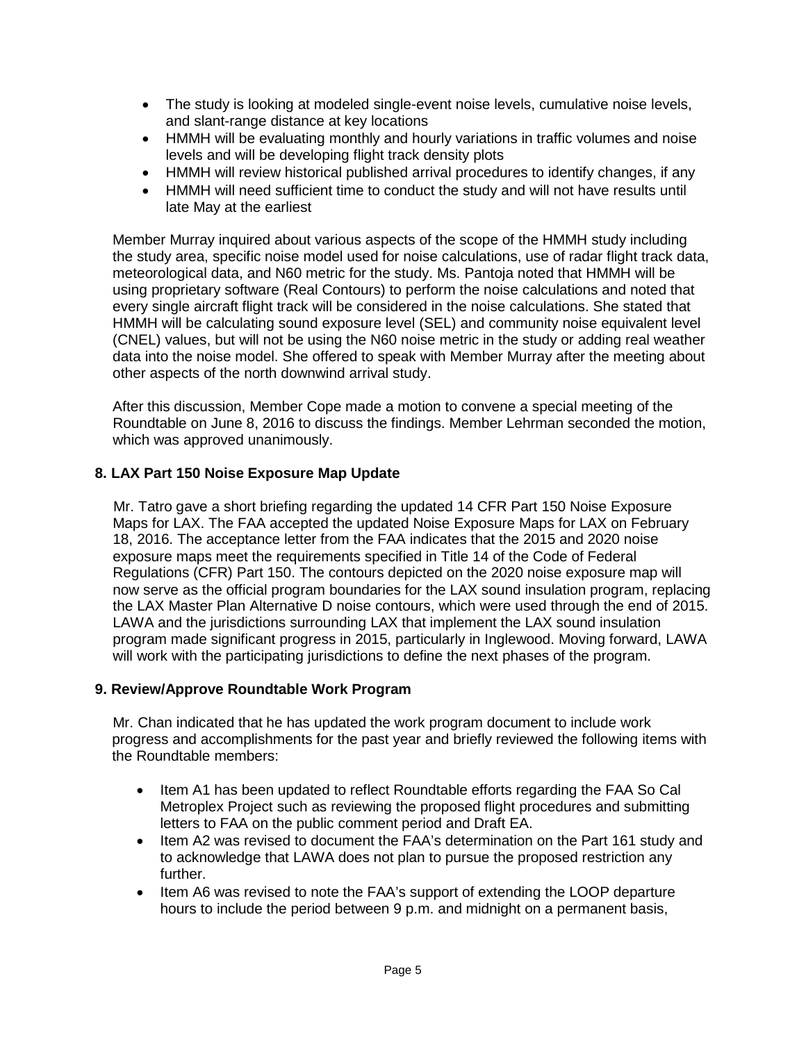- The study is looking at modeled single-event noise levels, cumulative noise levels, and slant-range distance at key locations
- HMMH will be evaluating monthly and hourly variations in traffic volumes and noise levels and will be developing flight track density plots
- HMMH will review historical published arrival procedures to identify changes, if any
- HMMH will need sufficient time to conduct the study and will not have results until late May at the earliest

Member Murray inquired about various aspects of the scope of the HMMH study including the study area, specific noise model used for noise calculations, use of radar flight track data, meteorological data, and N60 metric for the study. Ms. Pantoja noted that HMMH will be using proprietary software (Real Contours) to perform the noise calculations and noted that every single aircraft flight track will be considered in the noise calculations. She stated that HMMH will be calculating sound exposure level (SEL) and community noise equivalent level (CNEL) values, but will not be using the N60 noise metric in the study or adding real weather data into the noise model. She offered to speak with Member Murray after the meeting about other aspects of the north downwind arrival study.

After this discussion, Member Cope made a motion to convene a special meeting of the Roundtable on June 8, 2016 to discuss the findings. Member Lehrman seconded the motion, which was approved unanimously.

## **8. LAX Part 150 Noise Exposure Map Update**

Mr. Tatro gave a short briefing regarding the updated 14 CFR Part 150 Noise Exposure Maps for LAX. The FAA accepted the updated Noise Exposure Maps for LAX on February 18, 2016. The acceptance letter from the FAA indicates that the 2015 and 2020 noise exposure maps meet the requirements specified in Title 14 of the Code of Federal Regulations (CFR) Part 150. The contours depicted on the 2020 noise exposure map will now serve as the official program boundaries for the LAX sound insulation program, replacing the LAX Master Plan Alternative D noise contours, which were used through the end of 2015. LAWA and the jurisdictions surrounding LAX that implement the LAX sound insulation program made significant progress in 2015, particularly in Inglewood. Moving forward, LAWA will work with the participating jurisdictions to define the next phases of the program.

#### **9. Review/Approve Roundtable Work Program**

Mr. Chan indicated that he has updated the work program document to include work progress and accomplishments for the past year and briefly reviewed the following items with the Roundtable members:

- Item A1 has been updated to reflect Roundtable efforts regarding the FAA So Cal Metroplex Project such as reviewing the proposed flight procedures and submitting letters to FAA on the public comment period and Draft EA.
- Item A2 was revised to document the FAA's determination on the Part 161 study and to acknowledge that LAWA does not plan to pursue the proposed restriction any further.
- Item A6 was revised to note the FAA's support of extending the LOOP departure hours to include the period between 9 p.m. and midnight on a permanent basis,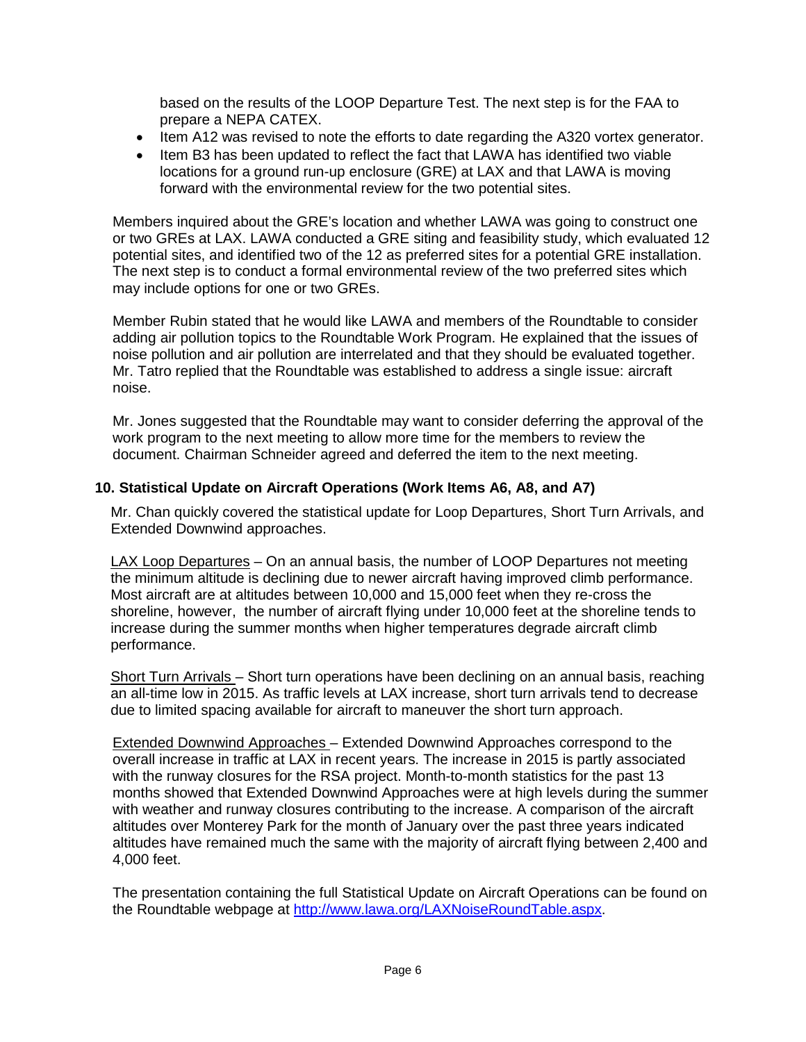based on the results of the LOOP Departure Test. The next step is for the FAA to prepare a NEPA CATEX.

- Item A12 was revised to note the efforts to date regarding the A320 vortex generator.
- Item B3 has been updated to reflect the fact that LAWA has identified two viable locations for a ground run-up enclosure (GRE) at LAX and that LAWA is moving forward with the environmental review for the two potential sites.

Members inquired about the GRE's location and whether LAWA was going to construct one or two GREs at LAX. LAWA conducted a GRE siting and feasibility study, which evaluated 12 potential sites, and identified two of the 12 as preferred sites for a potential GRE installation. The next step is to conduct a formal environmental review of the two preferred sites which may include options for one or two GREs.

Member Rubin stated that he would like LAWA and members of the Roundtable to consider adding air pollution topics to the Roundtable Work Program. He explained that the issues of noise pollution and air pollution are interrelated and that they should be evaluated together. Mr. Tatro replied that the Roundtable was established to address a single issue: aircraft noise.

Mr. Jones suggested that the Roundtable may want to consider deferring the approval of the work program to the next meeting to allow more time for the members to review the document. Chairman Schneider agreed and deferred the item to the next meeting.

#### **10. Statistical Update on Aircraft Operations (Work Items A6, A8, and A7)**

Mr. Chan quickly covered the statistical update for Loop Departures, Short Turn Arrivals, and Extended Downwind approaches.

LAX Loop Departures - On an annual basis, the number of LOOP Departures not meeting the minimum altitude is declining due to newer aircraft having improved climb performance. Most aircraft are at altitudes between 10,000 and 15,000 feet when they re-cross the shoreline, however, the number of aircraft flying under 10,000 feet at the shoreline tends to increase during the summer months when higher temperatures degrade aircraft climb performance.

Short Turn Arrivals – Short turn operations have been declining on an annual basis, reaching an all-time low in 2015. As traffic levels at LAX increase, short turn arrivals tend to decrease due to limited spacing available for aircraft to maneuver the short turn approach.

Extended Downwind Approaches – Extended Downwind Approaches correspond to the overall increase in traffic at LAX in recent years. The increase in 2015 is partly associated with the runway closures for the RSA project. Month-to-month statistics for the past 13 months showed that Extended Downwind Approaches were at high levels during the summer with weather and runway closures contributing to the increase. A comparison of the aircraft altitudes over Monterey Park for the month of January over the past three years indicated altitudes have remained much the same with the majority of aircraft flying between 2,400 and 4,000 feet.

The presentation containing the full Statistical Update on Aircraft Operations can be found on the Roundtable webpage at [http://www.lawa.org/LAXNoiseRoundTable.aspx.](http://www.lawa.org/LAXNoiseRoundTable.aspx)